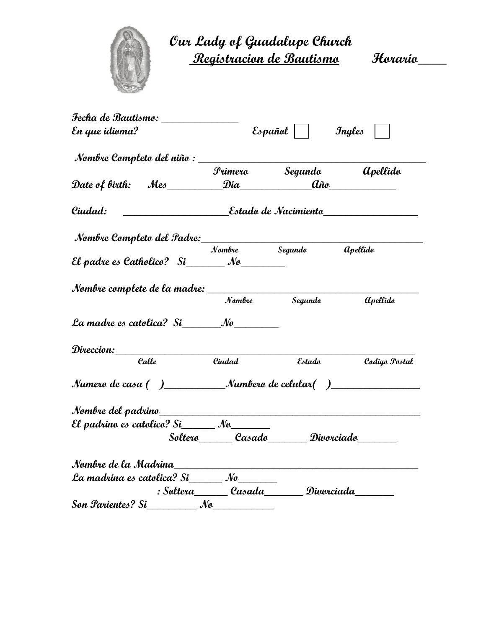

**Our Lady of Guadalupe Church Registracion de Bautismo Horario\_\_\_\_**

| Fecha de Bautismo: ______________                                                                              |                              |                           |                        |
|----------------------------------------------------------------------------------------------------------------|------------------------------|---------------------------|------------------------|
| En que idioma?                                                                                                 |                              | $\mathcal{E}$ s pañol     | Ingles                 |
|                                                                                                                |                              |                           |                        |
|                                                                                                                |                              | Primero Segundo apellido  |                        |
|                                                                                                                |                              |                           |                        |
| Ciudad:                                                                                                        |                              |                           |                        |
| Nombre Completo del Padre:<br>Nombre Segundo                                                                   |                              |                           |                        |
|                                                                                                                |                              |                           | <b>a</b> pellido       |
| El padre es Catholico? $Si$ Mo                                                                                 |                              |                           |                        |
| Nombre complete de la madre: _______________                                                                   |                              |                           |                        |
|                                                                                                                |                              | Nombre Segundo            | <i><b>apellido</b></i> |
|                                                                                                                |                              |                           |                        |
| Direccion:______                                                                                               |                              |                           |                        |
| Calle                                                                                                          | Ciudad                       | Estado                    | Codigo Postal          |
| Numero de casa ( )____________Numbero de celular( )_____________________________                               |                              |                           |                        |
|                                                                                                                |                              |                           |                        |
| El padrino es catolico? Si $\_\_\_\_\_\_\_\_\_\_\_\_\_\_\_\_\_\_\_\_\_\_\_\_\_\_\_\_\_\_\_$                    |                              |                           |                        |
|                                                                                                                |                              | Soltero Casado Divorciado |                        |
| Nombre de la Madrina de la contrattura de la contrattura de la contrattura de la contrattura de la contrattura |                              |                           |                        |
| La madrina es catolica? Si______ No_______                                                                     |                              |                           |                        |
|                                                                                                                | : Soltera______Casada_______ | Divorciada                |                        |
|                                                                                                                |                              |                           |                        |